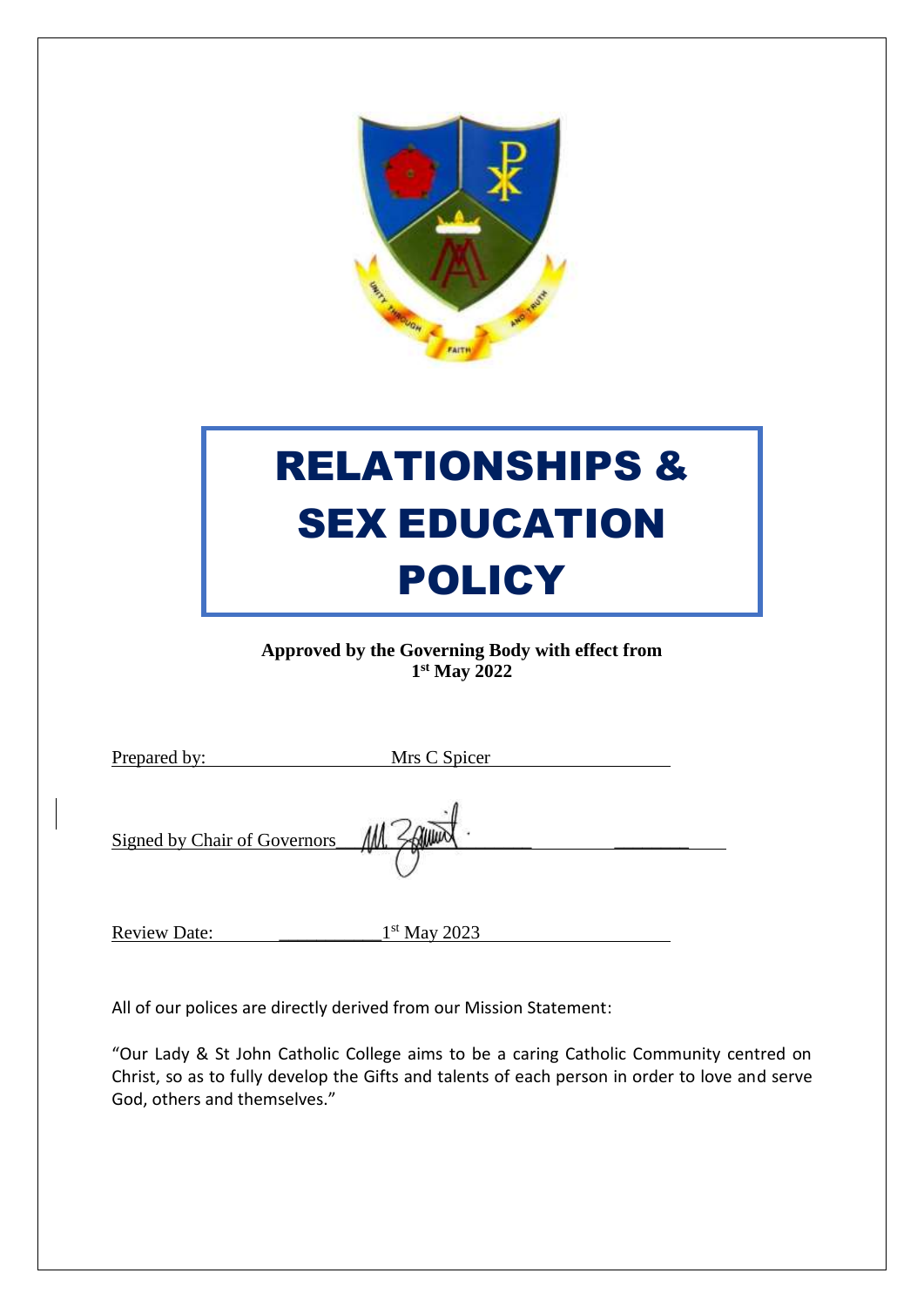

# RELATIONSHIPS & **SEX EDUCATION** POLICY

**Approved by the Governing Body with effect from 1 st May 2022**

| Prepared by:                 | Mrs C Spicer |  |
|------------------------------|--------------|--|
| Signed by Chair of Governors |              |  |

1<sup>st</sup> May 2023

All of our polices are directly derived from our Mission Statement:

Review Date:

"Our Lady & St John Catholic College aims to be a caring Catholic Community centred on Christ, so as to fully develop the Gifts and talents of each person in order to love and serve God, others and themselves."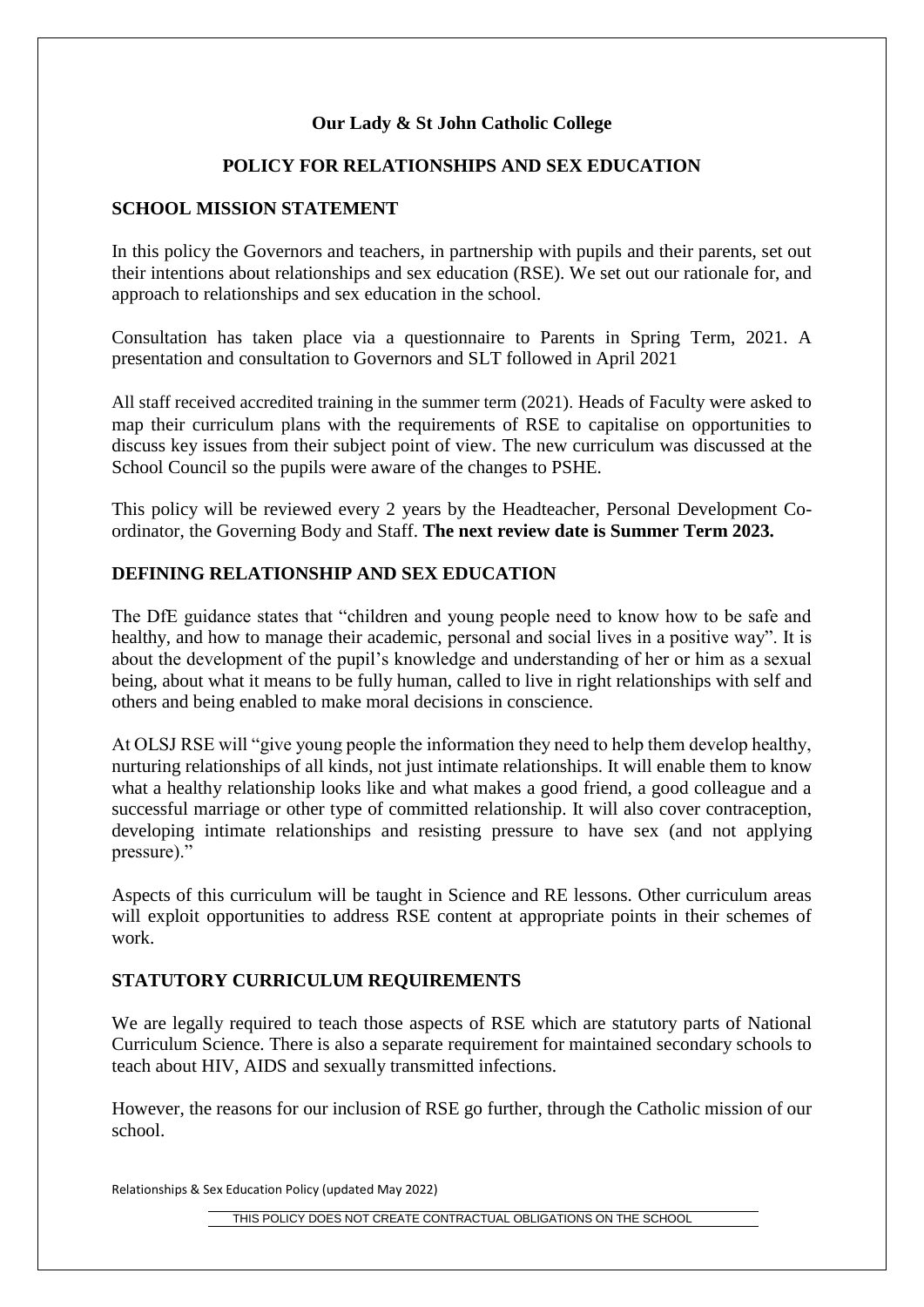# **Our Lady & St John Catholic College**

#### **POLICY FOR RELATIONSHIPS AND SEX EDUCATION**

## **SCHOOL MISSION STATEMENT**

In this policy the Governors and teachers, in partnership with pupils and their parents, set out their intentions about relationships and sex education (RSE). We set out our rationale for, and approach to relationships and sex education in the school.

Consultation has taken place via a questionnaire to Parents in Spring Term, 2021. A presentation and consultation to Governors and SLT followed in April 2021

All staff received accredited training in the summer term (2021). Heads of Faculty were asked to map their curriculum plans with the requirements of RSE to capitalise on opportunities to discuss key issues from their subject point of view. The new curriculum was discussed at the School Council so the pupils were aware of the changes to PSHE.

This policy will be reviewed every 2 years by the Headteacher, Personal Development Coordinator, the Governing Body and Staff. **The next review date is Summer Term 2023.**

## **DEFINING RELATIONSHIP AND SEX EDUCATION**

The DfE guidance states that "children and young people need to know how to be safe and healthy, and how to manage their academic, personal and social lives in a positive way". It is about the development of the pupil's knowledge and understanding of her or him as a sexual being, about what it means to be fully human, called to live in right relationships with self and others and being enabled to make moral decisions in conscience.

At OLSJ RSE will "give young people the information they need to help them develop healthy, nurturing relationships of all kinds, not just intimate relationships. It will enable them to know what a healthy relationship looks like and what makes a good friend, a good colleague and a successful marriage or other type of committed relationship. It will also cover contraception, developing intimate relationships and resisting pressure to have sex (and not applying pressure)."

Aspects of this curriculum will be taught in Science and RE lessons. Other curriculum areas will exploit opportunities to address RSE content at appropriate points in their schemes of work.

#### **STATUTORY CURRICULUM REQUIREMENTS**

We are legally required to teach those aspects of RSE which are statutory parts of National Curriculum Science. There is also a separate requirement for maintained secondary schools to teach about HIV, AIDS and sexually transmitted infections.

However, the reasons for our inclusion of RSE go further, through the Catholic mission of our school.

Relationships & Sex Education Policy (updated May 2022)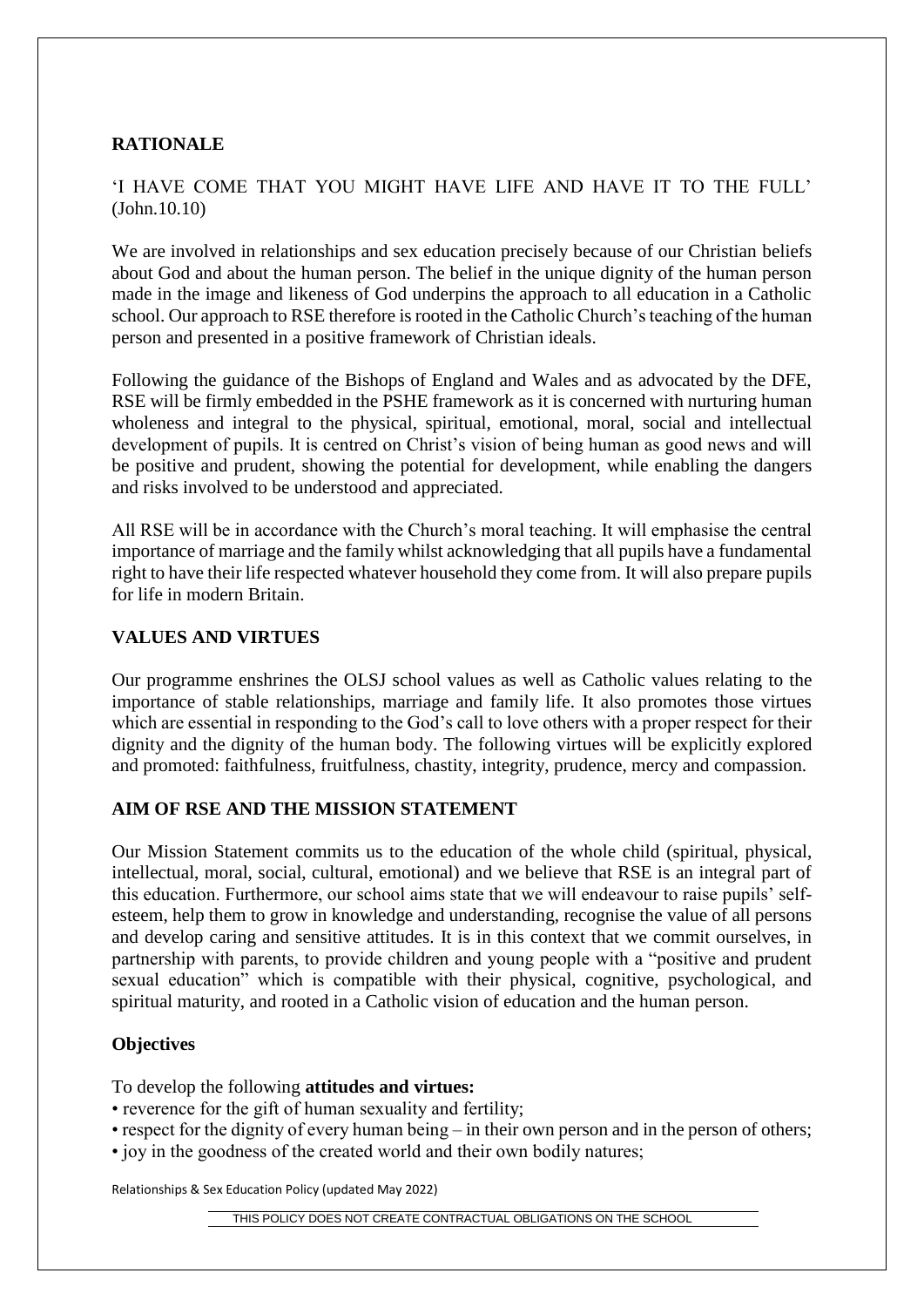## **RATIONALE**

# 'I HAVE COME THAT YOU MIGHT HAVE LIFE AND HAVE IT TO THE FULL' (John.10.10)

We are involved in relationships and sex education precisely because of our Christian beliefs about God and about the human person. The belief in the unique dignity of the human person made in the image and likeness of God underpins the approach to all education in a Catholic school. Our approach to RSE therefore is rooted in the Catholic Church's teaching of the human person and presented in a positive framework of Christian ideals.

Following the guidance of the Bishops of England and Wales and as advocated by the DFE, RSE will be firmly embedded in the PSHE framework as it is concerned with nurturing human wholeness and integral to the physical, spiritual, emotional, moral, social and intellectual development of pupils. It is centred on Christ's vision of being human as good news and will be positive and prudent, showing the potential for development, while enabling the dangers and risks involved to be understood and appreciated.

All RSE will be in accordance with the Church's moral teaching. It will emphasise the central importance of marriage and the family whilst acknowledging that all pupils have a fundamental right to have their life respected whatever household they come from. It will also prepare pupils for life in modern Britain.

#### **VALUES AND VIRTUES**

Our programme enshrines the OLSJ school values as well as Catholic values relating to the importance of stable relationships, marriage and family life. It also promotes those virtues which are essential in responding to the God's call to love others with a proper respect for their dignity and the dignity of the human body. The following virtues will be explicitly explored and promoted: faithfulness, fruitfulness, chastity, integrity, prudence, mercy and compassion.

# **AIM OF RSE AND THE MISSION STATEMENT**

Our Mission Statement commits us to the education of the whole child (spiritual, physical, intellectual, moral, social, cultural, emotional) and we believe that RSE is an integral part of this education. Furthermore, our school aims state that we will endeavour to raise pupils' selfesteem, help them to grow in knowledge and understanding, recognise the value of all persons and develop caring and sensitive attitudes. It is in this context that we commit ourselves, in partnership with parents, to provide children and young people with a "positive and prudent sexual education" which is compatible with their physical, cognitive, psychological, and spiritual maturity, and rooted in a Catholic vision of education and the human person.

#### **Objectives**

To develop the following **attitudes and virtues:**

- reverence for the gift of human sexuality and fertility;
- respect for the dignity of every human being in their own person and in the person of others;
- joy in the goodness of the created world and their own bodily natures;

Relationships & Sex Education Policy (updated May 2022)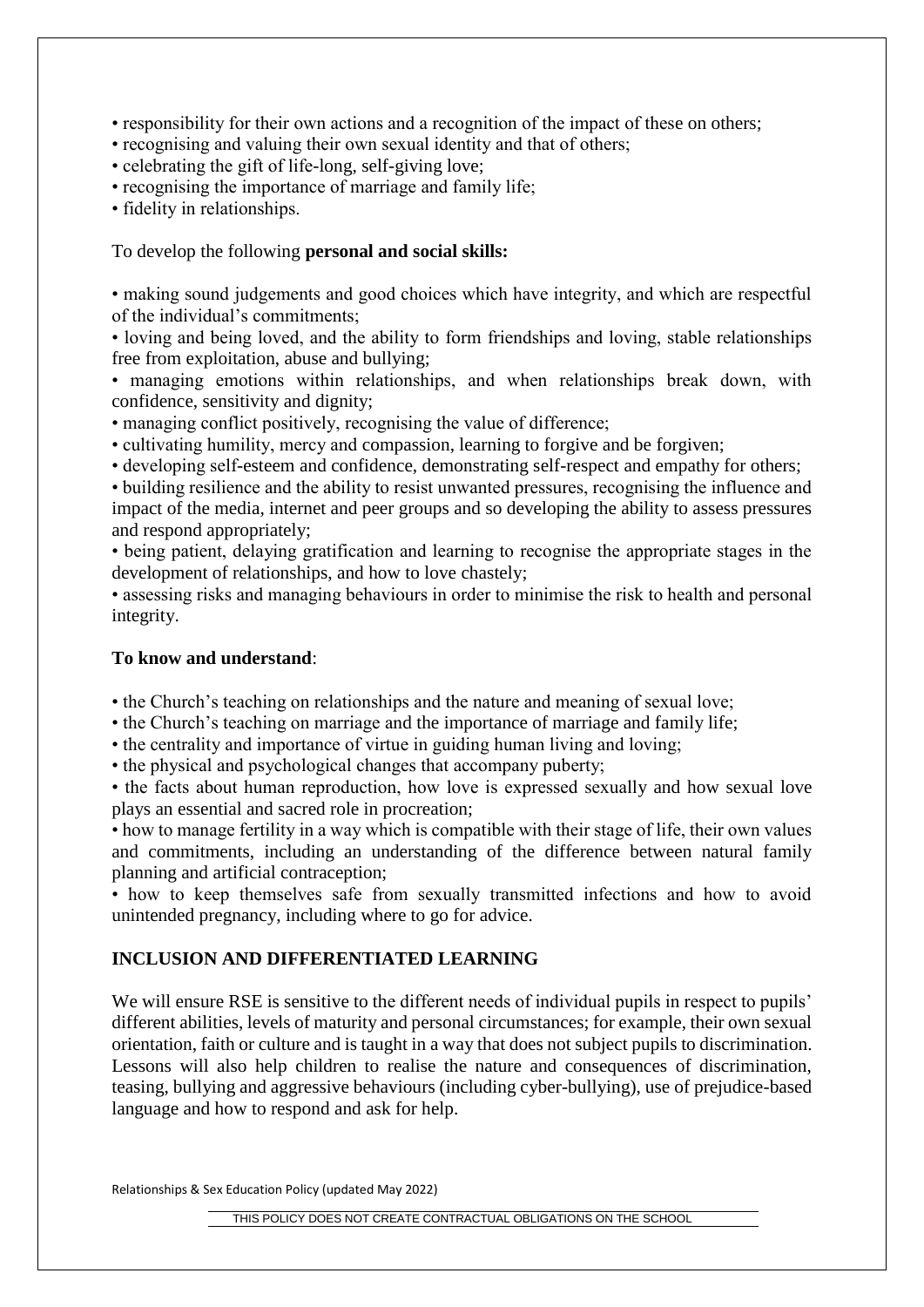• responsibility for their own actions and a recognition of the impact of these on others;

• recognising and valuing their own sexual identity and that of others;

- celebrating the gift of life-long, self-giving love;
- recognising the importance of marriage and family life;
- fidelity in relationships.

To develop the following **personal and social skills:**

• making sound judgements and good choices which have integrity, and which are respectful of the individual's commitments;

• loving and being loved, and the ability to form friendships and loving, stable relationships free from exploitation, abuse and bullying;

• managing emotions within relationships, and when relationships break down, with confidence, sensitivity and dignity;

- managing conflict positively, recognising the value of difference;
- cultivating humility, mercy and compassion, learning to forgive and be forgiven;

• developing self-esteem and confidence, demonstrating self-respect and empathy for others;

• building resilience and the ability to resist unwanted pressures, recognising the influence and impact of the media, internet and peer groups and so developing the ability to assess pressures and respond appropriately;

• being patient, delaying gratification and learning to recognise the appropriate stages in the development of relationships, and how to love chastely;

• assessing risks and managing behaviours in order to minimise the risk to health and personal integrity.

## **To know and understand**:

• the Church's teaching on relationships and the nature and meaning of sexual love;

• the Church's teaching on marriage and the importance of marriage and family life;

• the centrality and importance of virtue in guiding human living and loving;

• the physical and psychological changes that accompany puberty;

• the facts about human reproduction, how love is expressed sexually and how sexual love plays an essential and sacred role in procreation;

• how to manage fertility in a way which is compatible with their stage of life, their own values and commitments, including an understanding of the difference between natural family planning and artificial contraception;

• how to keep themselves safe from sexually transmitted infections and how to avoid unintended pregnancy, including where to go for advice.

# **INCLUSION AND DIFFERENTIATED LEARNING**

We will ensure RSE is sensitive to the different needs of individual pupils in respect to pupils' different abilities, levels of maturity and personal circumstances; for example, their own sexual orientation, faith or culture and is taught in a way that does not subject pupils to discrimination. Lessons will also help children to realise the nature and consequences of discrimination, teasing, bullying and aggressive behaviours (including cyber-bullying), use of prejudice-based language and how to respond and ask for help.

Relationships & Sex Education Policy (updated May 2022)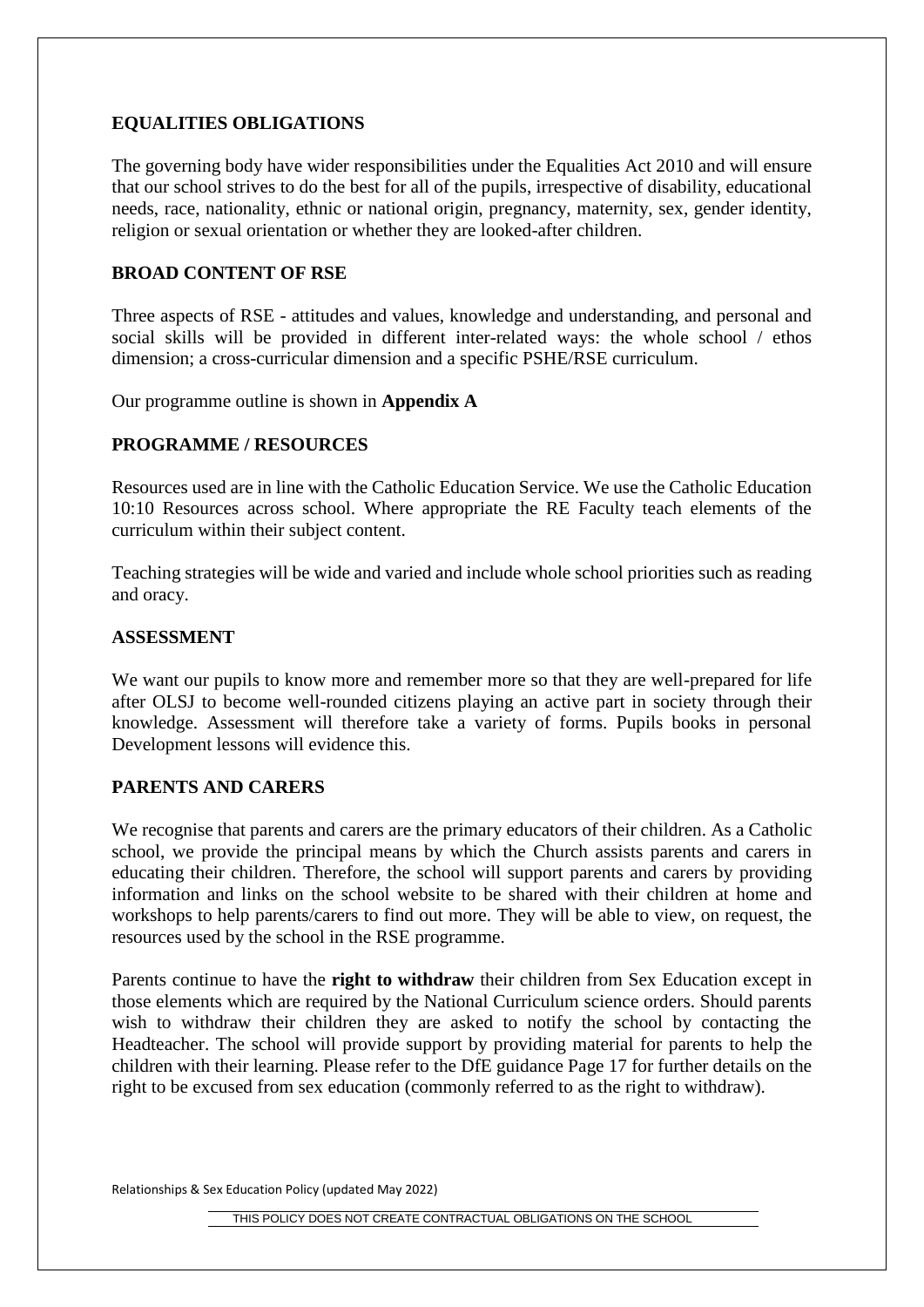# **EQUALITIES OBLIGATIONS**

The governing body have wider responsibilities under the Equalities Act 2010 and will ensure that our school strives to do the best for all of the pupils, irrespective of disability, educational needs, race, nationality, ethnic or national origin, pregnancy, maternity, sex, gender identity, religion or sexual orientation or whether they are looked-after children.

#### **BROAD CONTENT OF RSE**

Three aspects of RSE - attitudes and values, knowledge and understanding, and personal and social skills will be provided in different inter-related ways: the whole school / ethos dimension; a cross-curricular dimension and a specific PSHE/RSE curriculum.

Our programme outline is shown in **Appendix A**

## **PROGRAMME / RESOURCES**

Resources used are in line with the Catholic Education Service. We use the Catholic Education 10:10 Resources across school. Where appropriate the RE Faculty teach elements of the curriculum within their subject content.

Teaching strategies will be wide and varied and include whole school priorities such as reading and oracy.

#### **ASSESSMENT**

We want our pupils to know more and remember more so that they are well-prepared for life after OLSJ to become well-rounded citizens playing an active part in society through their knowledge. Assessment will therefore take a variety of forms. Pupils books in personal Development lessons will evidence this.

#### **PARENTS AND CARERS**

We recognise that parents and carers are the primary educators of their children. As a Catholic school, we provide the principal means by which the Church assists parents and carers in educating their children. Therefore, the school will support parents and carers by providing information and links on the school website to be shared with their children at home and workshops to help parents/carers to find out more. They will be able to view, on request, the resources used by the school in the RSE programme.

Parents continue to have the **right to withdraw** their children from Sex Education except in those elements which are required by the National Curriculum science orders. Should parents wish to withdraw their children they are asked to notify the school by contacting the Headteacher. The school will provide support by providing material for parents to help the children with their learning. Please refer to the DfE guidance Page 17 for further details on the right to be excused from sex education (commonly referred to as the right to withdraw).

Relationships & Sex Education Policy (updated May 2022)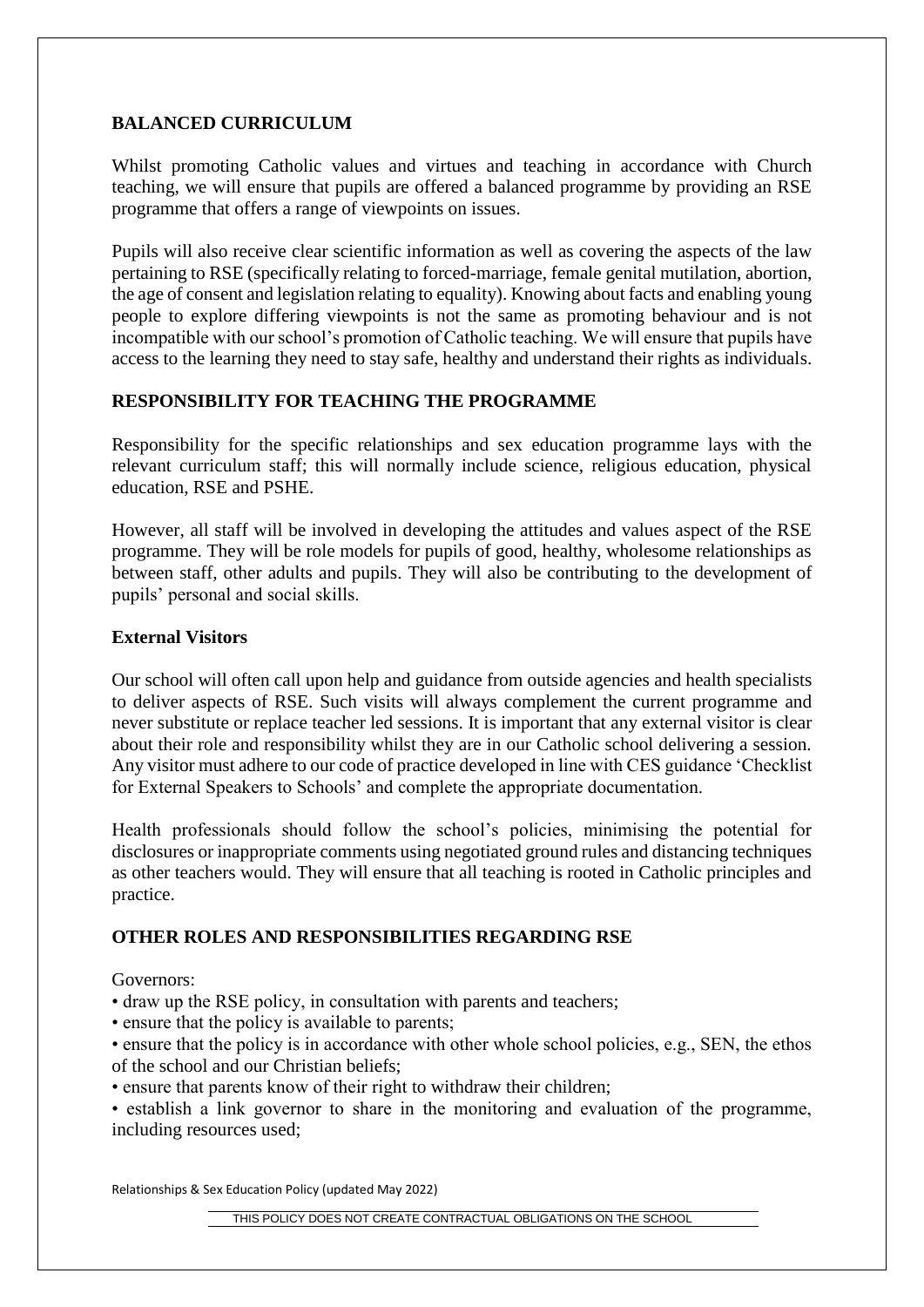# **BALANCED CURRICULUM**

Whilst promoting Catholic values and virtues and teaching in accordance with Church teaching, we will ensure that pupils are offered a balanced programme by providing an RSE programme that offers a range of viewpoints on issues.

Pupils will also receive clear scientific information as well as covering the aspects of the law pertaining to RSE (specifically relating to forced-marriage, female genital mutilation, abortion, the age of consent and legislation relating to equality). Knowing about facts and enabling young people to explore differing viewpoints is not the same as promoting behaviour and is not incompatible with our school's promotion of Catholic teaching. We will ensure that pupils have access to the learning they need to stay safe, healthy and understand their rights as individuals.

# **RESPONSIBILITY FOR TEACHING THE PROGRAMME**

Responsibility for the specific relationships and sex education programme lays with the relevant curriculum staff; this will normally include science, religious education, physical education, RSE and PSHE.

However, all staff will be involved in developing the attitudes and values aspect of the RSE programme. They will be role models for pupils of good, healthy, wholesome relationships as between staff, other adults and pupils. They will also be contributing to the development of pupils' personal and social skills.

## **External Visitors**

Our school will often call upon help and guidance from outside agencies and health specialists to deliver aspects of RSE. Such visits will always complement the current programme and never substitute or replace teacher led sessions. It is important that any external visitor is clear about their role and responsibility whilst they are in our Catholic school delivering a session. Any visitor must adhere to our code of practice developed in line with CES guidance 'Checklist for External Speakers to Schools' and complete the appropriate documentation.

Health professionals should follow the school's policies, minimising the potential for disclosures or inappropriate comments using negotiated ground rules and distancing techniques as other teachers would. They will ensure that all teaching is rooted in Catholic principles and practice.

# **OTHER ROLES AND RESPONSIBILITIES REGARDING RSE**

Governors:

- draw up the RSE policy, in consultation with parents and teachers;
- ensure that the policy is available to parents;
- ensure that the policy is in accordance with other whole school policies, e.g., SEN, the ethos of the school and our Christian beliefs;
- ensure that parents know of their right to withdraw their children;

• establish a link governor to share in the monitoring and evaluation of the programme, including resources used;

Relationships & Sex Education Policy (updated May 2022)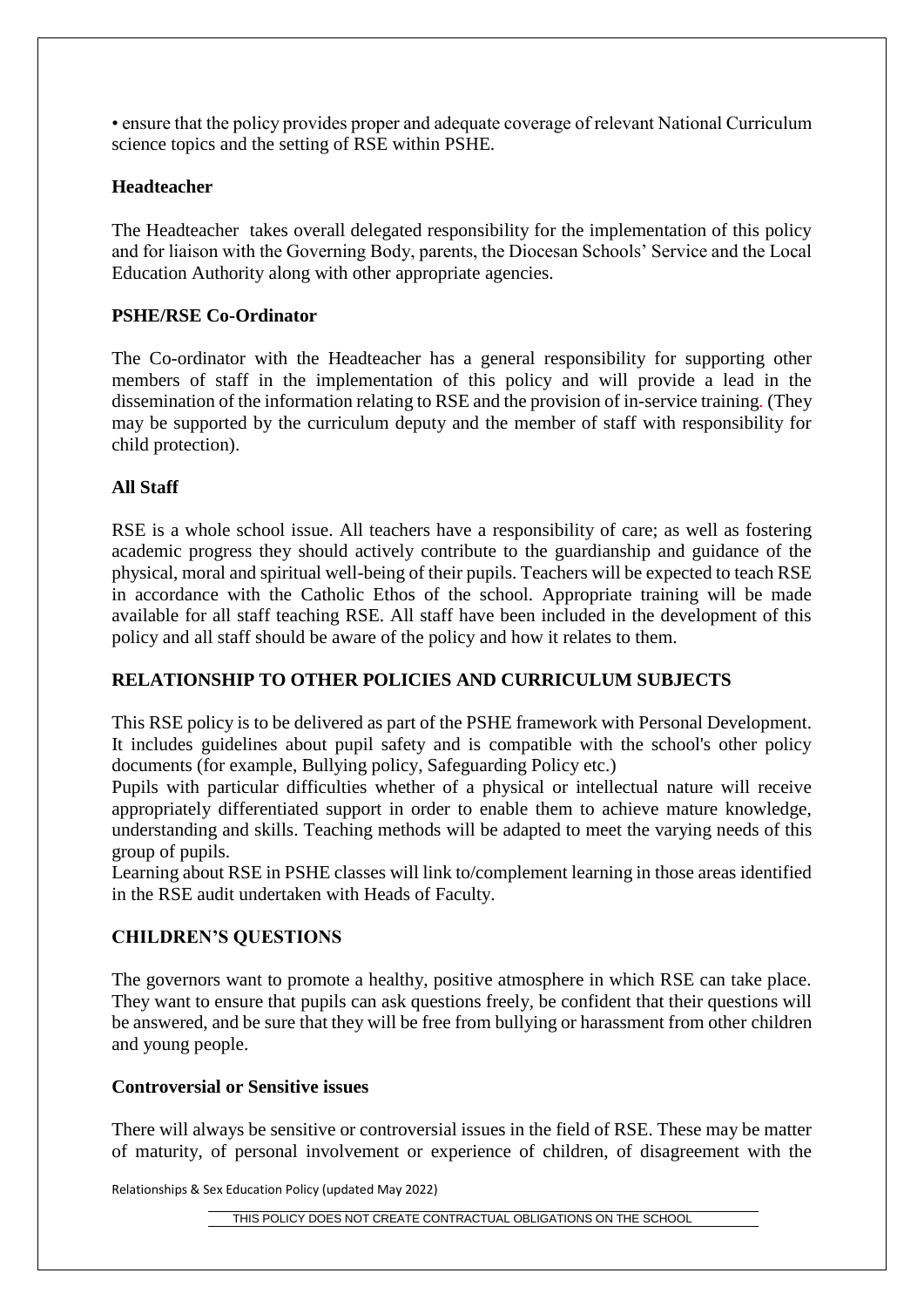• ensure that the policy provides proper and adequate coverage of relevant National Curriculum science topics and the setting of RSE within PSHE.

## **Headteacher**

The Headteacher takes overall delegated responsibility for the implementation of this policy and for liaison with the Governing Body, parents, the Diocesan Schools' Service and the Local Education Authority along with other appropriate agencies.

# **PSHE/RSE Co-Ordinator**

The Co-ordinator with the Headteacher has a general responsibility for supporting other members of staff in the implementation of this policy and will provide a lead in the dissemination of the information relating to RSE and the provision of in-service training*.* (They may be supported by the curriculum deputy and the member of staff with responsibility for child protection).

## **All Staff**

RSE is a whole school issue. All teachers have a responsibility of care; as well as fostering academic progress they should actively contribute to the guardianship and guidance of the physical, moral and spiritual well-being of their pupils. Teachers will be expected to teach RSE in accordance with the Catholic Ethos of the school. Appropriate training will be made available for all staff teaching RSE. All staff have been included in the development of this policy and all staff should be aware of the policy and how it relates to them.

# **RELATIONSHIP TO OTHER POLICIES AND CURRICULUM SUBJECTS**

This RSE policy is to be delivered as part of the PSHE framework with Personal Development. It includes guidelines about pupil safety and is compatible with the school's other policy documents (for example, Bullying policy, Safeguarding Policy etc.)

Pupils with particular difficulties whether of a physical or intellectual nature will receive appropriately differentiated support in order to enable them to achieve mature knowledge, understanding and skills. Teaching methods will be adapted to meet the varying needs of this group of pupils.

Learning about RSE in PSHE classes will link to/complement learning in those areas identified in the RSE audit undertaken with Heads of Faculty.

#### **CHILDREN'S QUESTIONS**

The governors want to promote a healthy, positive atmosphere in which RSE can take place. They want to ensure that pupils can ask questions freely, be confident that their questions will be answered, and be sure that they will be free from bullying or harassment from other children and young people.

#### **Controversial or Sensitive issues**

There will always be sensitive or controversial issues in the field of RSE. These may be matter of maturity, of personal involvement or experience of children, of disagreement with the

Relationships & Sex Education Policy (updated May 2022)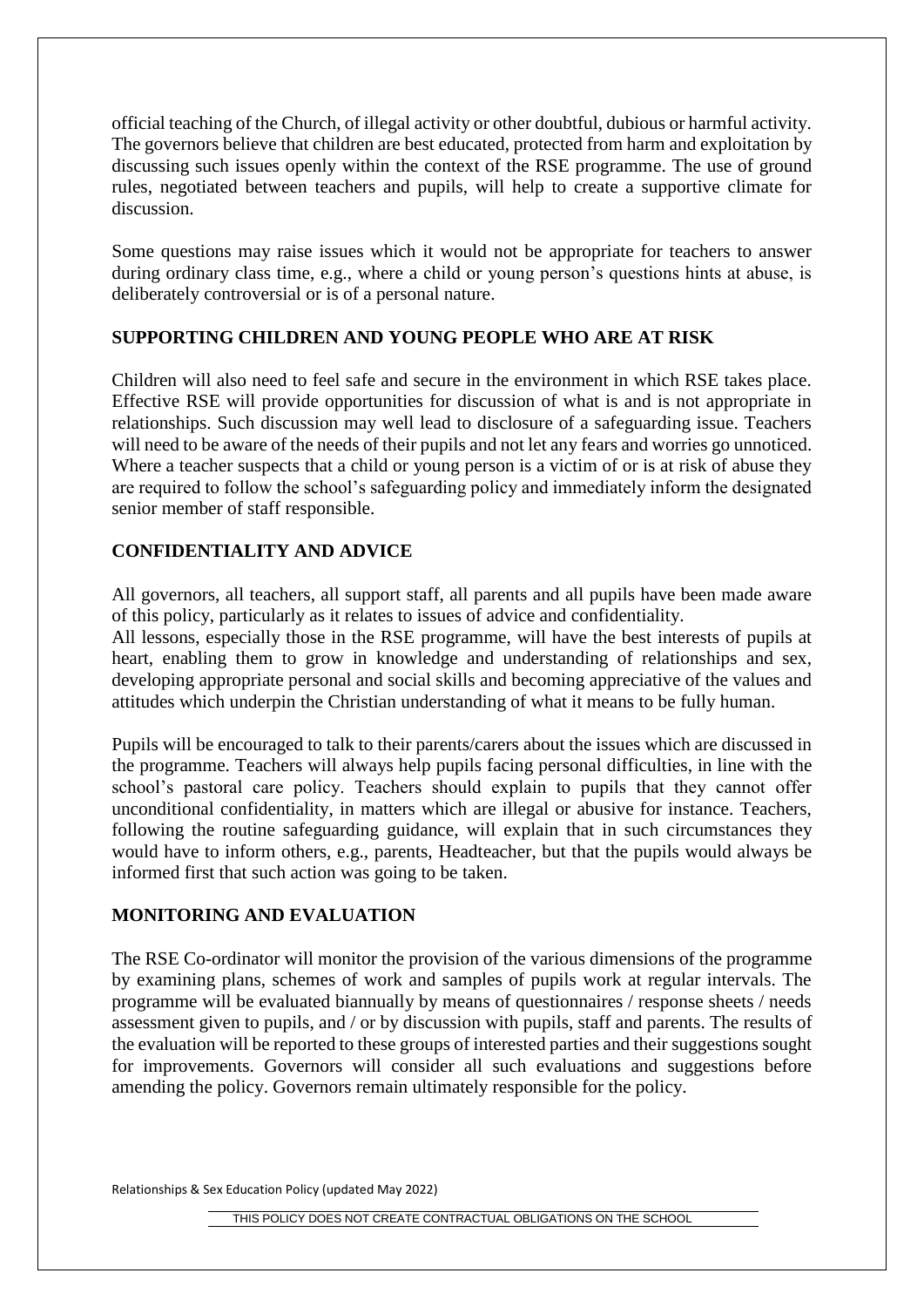official teaching of the Church, of illegal activity or other doubtful, dubious or harmful activity. The governors believe that children are best educated, protected from harm and exploitation by discussing such issues openly within the context of the RSE programme. The use of ground rules, negotiated between teachers and pupils, will help to create a supportive climate for discussion.

Some questions may raise issues which it would not be appropriate for teachers to answer during ordinary class time, e.g., where a child or young person's questions hints at abuse, is deliberately controversial or is of a personal nature.

# **SUPPORTING CHILDREN AND YOUNG PEOPLE WHO ARE AT RISK**

Children will also need to feel safe and secure in the environment in which RSE takes place. Effective RSE will provide opportunities for discussion of what is and is not appropriate in relationships. Such discussion may well lead to disclosure of a safeguarding issue. Teachers will need to be aware of the needs of their pupils and not let any fears and worries go unnoticed. Where a teacher suspects that a child or young person is a victim of or is at risk of abuse they are required to follow the school's safeguarding policy and immediately inform the designated senior member of staff responsible.

# **CONFIDENTIALITY AND ADVICE**

All governors, all teachers, all support staff, all parents and all pupils have been made aware of this policy, particularly as it relates to issues of advice and confidentiality.

All lessons, especially those in the RSE programme, will have the best interests of pupils at heart, enabling them to grow in knowledge and understanding of relationships and sex, developing appropriate personal and social skills and becoming appreciative of the values and attitudes which underpin the Christian understanding of what it means to be fully human.

Pupils will be encouraged to talk to their parents/carers about the issues which are discussed in the programme. Teachers will always help pupils facing personal difficulties, in line with the school's pastoral care policy. Teachers should explain to pupils that they cannot offer unconditional confidentiality, in matters which are illegal or abusive for instance. Teachers, following the routine safeguarding guidance, will explain that in such circumstances they would have to inform others, e.g., parents, Headteacher, but that the pupils would always be informed first that such action was going to be taken.

# **MONITORING AND EVALUATION**

The RSE Co-ordinator will monitor the provision of the various dimensions of the programme by examining plans, schemes of work and samples of pupils work at regular intervals. The programme will be evaluated biannually by means of questionnaires / response sheets / needs assessment given to pupils, and / or by discussion with pupils, staff and parents. The results of the evaluation will be reported to these groups of interested parties and their suggestions sought for improvements. Governors will consider all such evaluations and suggestions before amending the policy. Governors remain ultimately responsible for the policy.

Relationships & Sex Education Policy (updated May 2022)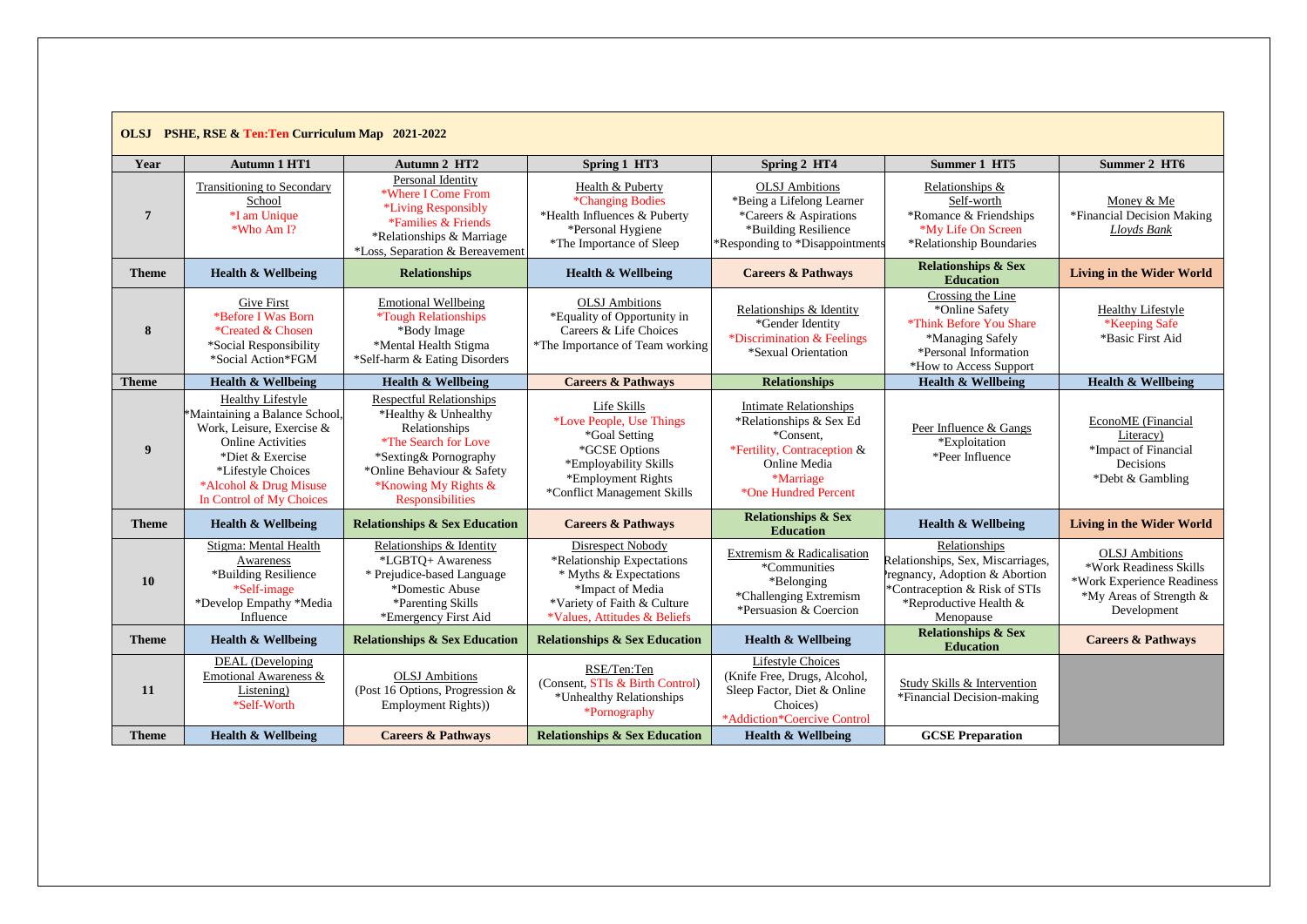| <b>OLSJ</b> PSHE, RSE & Ten:Ten Curriculum Map 2021-2022 |                                                                                                                                                                                                                     |                                                                                                                                                                                                            |                                                                                                                                                              |                                                                                                                                                           |                                                                                                                                                             |                                                                                                                         |  |  |
|----------------------------------------------------------|---------------------------------------------------------------------------------------------------------------------------------------------------------------------------------------------------------------------|------------------------------------------------------------------------------------------------------------------------------------------------------------------------------------------------------------|--------------------------------------------------------------------------------------------------------------------------------------------------------------|-----------------------------------------------------------------------------------------------------------------------------------------------------------|-------------------------------------------------------------------------------------------------------------------------------------------------------------|-------------------------------------------------------------------------------------------------------------------------|--|--|
| Year                                                     | <b>Autumn 1 HT1</b>                                                                                                                                                                                                 | Autumn 2 HT2                                                                                                                                                                                               | Spring 1 HT3                                                                                                                                                 | Spring 2 HT4                                                                                                                                              | Summer 1 HT5                                                                                                                                                | Summer 2 HT6                                                                                                            |  |  |
| $\overline{7}$                                           | <b>Transitioning to Secondary</b><br>School<br>*I am Unique<br>*Who Am I?                                                                                                                                           | Personal Identity<br>*Where I Come From<br>*Living Responsibly<br>*Families & Friends<br>*Relationships & Marriage<br>*Loss, Separation & Bereavement                                                      | Health & Puberty<br>*Changing Bodies<br>*Health Influences & Puberty<br>*Personal Hygiene<br>*The Importance of Sleep                                        | <b>OLSJ</b> Ambitions<br>*Being a Lifelong Learner<br>*Careers & Aspirations<br>*Building Resilience<br>*Responding to *Disappointments                   | Relationships &<br>Self-worth<br>*Romance & Friendships<br>*My Life On Screen<br>*Relationship Boundaries                                                   | Money & Me<br>*Financial Decision Making<br>Lloyds Bank                                                                 |  |  |
| <b>Theme</b>                                             | <b>Health &amp; Wellbeing</b>                                                                                                                                                                                       | <b>Relationships</b>                                                                                                                                                                                       | <b>Health &amp; Wellbeing</b>                                                                                                                                | <b>Careers &amp; Pathways</b>                                                                                                                             | <b>Relationships &amp; Sex</b><br><b>Education</b>                                                                                                          | <b>Living in the Wider World</b>                                                                                        |  |  |
| 8                                                        | Give First<br>*Before I Was Born<br>*Created & Chosen<br>*Social Responsibility<br>*Social Action*FGM                                                                                                               | <b>Emotional Wellbeing</b><br><i><b>*Tough Relationships</b></i><br>*Body Image<br>*Mental Health Stigma<br>*Self-harm & Eating Disorders                                                                  | <b>OLSJ</b> Ambitions<br>*Equality of Opportunity in<br>Careers & Life Choices<br>*The Importance of Team working                                            | Relationships & Identity<br>*Gender Identity<br>*Discrimination & Feelings<br>*Sexual Orientation                                                         | Crossing the Line<br>*Online Safety<br>*Think Before You Share<br>*Managing Safely<br>*Personal Information<br>*How to Access Support                       | <b>Healthy Lifestyle</b><br>*Keeping Safe<br>*Basic First Aid                                                           |  |  |
| <b>Theme</b>                                             | <b>Health &amp; Wellbeing</b>                                                                                                                                                                                       | <b>Health &amp; Wellbeing</b>                                                                                                                                                                              | <b>Careers &amp; Pathways</b>                                                                                                                                | <b>Relationships</b>                                                                                                                                      | <b>Health &amp; Wellbeing</b>                                                                                                                               | <b>Health &amp; Wellbeing</b>                                                                                           |  |  |
| $\boldsymbol{9}$                                         | <b>Healthy Lifestyle</b><br>*Maintaining a Balance School,<br>Work, Leisure, Exercise &<br><b>Online Activities</b><br>*Diet & Exercise<br>*Lifestyle Choices<br>*Alcohol & Drug Misuse<br>In Control of My Choices | <b>Respectful Relationships</b><br>*Healthy & Unhealthy<br>Relationships<br>*The Search for Love<br>*Sexting& Pornography<br>*Online Behaviour & Safety<br>*Knowing My Rights &<br><b>Responsibilities</b> | Life Skills<br>*Love People, Use Things<br>*Goal Setting<br>*GCSE Options<br>*Employability Skills<br>*Employment Rights<br>*Conflict Management Skills      | <b>Intimate Relationships</b><br>*Relationships & Sex Ed<br>*Consent.<br>*Fertility, Contraception &<br>Online Media<br>*Marriage<br>*One Hundred Percent | Peer Influence & Gangs<br>*Exploitation<br>*Peer Influence                                                                                                  | EconoME (Financial<br>Literacy)<br>*Impact of Financial<br>Decisions<br>*Debt & Gambling                                |  |  |
| <b>Theme</b>                                             | <b>Health &amp; Wellbeing</b>                                                                                                                                                                                       | <b>Relationships &amp; Sex Education</b>                                                                                                                                                                   | <b>Careers &amp; Pathways</b>                                                                                                                                | <b>Relationships &amp; Sex</b><br><b>Education</b>                                                                                                        | <b>Health &amp; Wellbeing</b>                                                                                                                               | <b>Living in the Wider World</b>                                                                                        |  |  |
| 10                                                       | Stigma: Mental Health<br>Awareness<br>*Building Resilience<br>*Self-image<br>*Develop Empathy *Media<br>Influence                                                                                                   | Relationships & Identity<br>*LGBTO+ Awareness<br>* Prejudice-based Language<br>*Domestic Abuse<br>*Parenting Skills<br>*Emergency First Aid                                                                | Disrespect Nobody<br>*Relationship Expectations<br>* Myths & Expectations<br>*Impact of Media<br>*Variety of Faith & Culture<br>*Values, Attitudes & Beliefs | Extremism & Radicalisation<br>*Communities<br>*Belonging<br>*Challenging Extremism<br>*Persuasion & Coercion                                              | Relationships<br>Relationships, Sex, Miscarriages,<br>regnancy, Adoption & Abortion<br>*Contraception & Risk of STIs<br>*Reproductive Health &<br>Menopause | <b>OLSJ</b> Ambitions<br>*Work Readiness Skills<br>*Work Experience Readiness<br>*My Areas of Strength &<br>Development |  |  |
| <b>Theme</b>                                             | <b>Health &amp; Wellbeing</b>                                                                                                                                                                                       | <b>Relationships &amp; Sex Education</b>                                                                                                                                                                   | <b>Relationships &amp; Sex Education</b>                                                                                                                     | <b>Health &amp; Wellbeing</b>                                                                                                                             | <b>Relationships &amp; Sex</b><br><b>Education</b>                                                                                                          | <b>Careers &amp; Pathways</b>                                                                                           |  |  |
| 11                                                       | DEAL (Developing<br>Emotional Awareness &<br>Listening)<br>*Self-Worth                                                                                                                                              | <b>OLSJ</b> Ambitions<br>(Post 16 Options, Progression &<br>Employment Rights))                                                                                                                            | RSE/Ten:Ten<br>(Consent, STIs & Birth Control)<br>*Unhealthy Relationships<br>*Pornography                                                                   | <b>Lifestyle Choices</b><br>(Knife Free, Drugs, Alcohol,<br>Sleep Factor, Diet & Online<br>Choices)<br>*Addiction*Coercive Control                        | Study Skills & Intervention<br>*Financial Decision-making                                                                                                   |                                                                                                                         |  |  |
| <b>Theme</b>                                             | <b>Health &amp; Wellbeing</b>                                                                                                                                                                                       | <b>Careers &amp; Pathways</b>                                                                                                                                                                              | <b>Relationships &amp; Sex Education</b>                                                                                                                     | <b>Health &amp; Wellbeing</b>                                                                                                                             | <b>GCSE Preparation</b>                                                                                                                                     |                                                                                                                         |  |  |